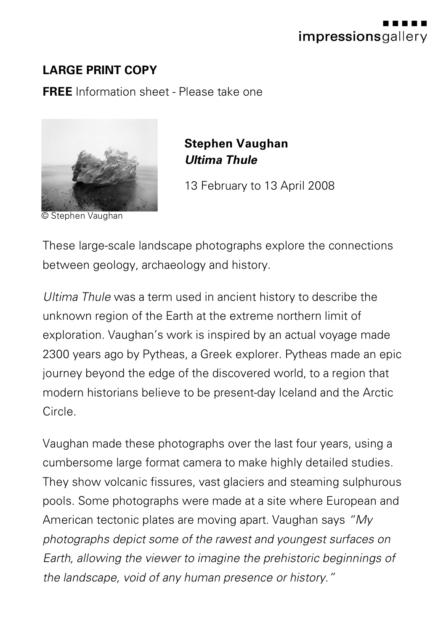

## **LARGE PRINT COPY**

**FREE** Information sheet - Please take one



© Stephen Vaughan

**Stephen Vaughan** *Ultima Thule*

13 February to 13 April 2008

These large-scale landscape photographs explore the connections between geology, archaeology and history.

*Ultima Thule* was a term used in ancient history to describe the unknown region of the Earth at the extreme northern limit of exploration. Vaughan's work is inspired by an actual voyage made 2300 years ago by Pytheas, a Greek explorer. Pytheas made an epic journey beyond the edge of the discovered world, to a region that modern historians believe to be present-day Iceland and the Arctic Circle.

Vaughan made these photographs over the last four years, using a cumbersome large format camera to make highly detailed studies. They show volcanic fissures, vast glaciers and steaming sulphurous pools. Some photographs were made at a site where European and American tectonic plates are moving apart. Vaughan says *"My photographs depict some of the rawest and youngest surfaces on Earth, allowing the viewer to imagine the prehistoric beginnings of the landscape, void of any human presence or history."*